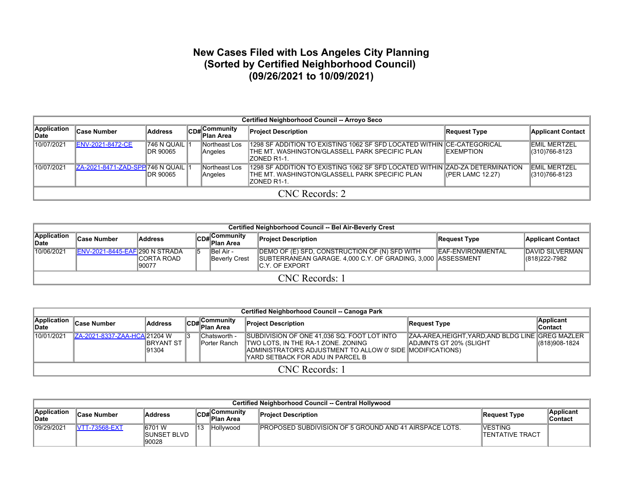## **New Cases Filed with Los Angeles City Planning (Sorted by Certified Neighborhood Council) (09/26/2021 to 10/09/2021)**

|                      | <b>Certified Neighborhood Council -- Arroyo Seco</b> |                                  |  |                                                    |                                                                                                                                                 |                      |                                      |  |  |  |  |  |
|----------------------|------------------------------------------------------|----------------------------------|--|----------------------------------------------------|-------------------------------------------------------------------------------------------------------------------------------------------------|----------------------|--------------------------------------|--|--|--|--|--|
| Application<br>∣Date | ∣Case Number                                         | <b>Address</b>                   |  | $\left \mathsf{CDH}\right $ Community<br>Plan Area | <b>Project Description</b>                                                                                                                      | Request Type         | <b>Applicant Contact</b>             |  |  |  |  |  |
| 10/07/2021           | <b>IENV-2021-8472-CE</b>                             | $ 746 N$ QUAIL $ 4$<br>IDR 90065 |  | Northeast Los<br>Angeles                           | 1298 SF ADDITION TO EXISTING 1062 SF SFD LOCATED WITHIN CE-CATEGORICAL<br>ITHE MT. WASHINGTON/GLASSELL PARK SPECIFIC PLAN<br>IZONED R1-1.       | <b>IEXEMPTION</b>    | IEMIL MERTZEL<br>(310)766-8123       |  |  |  |  |  |
| 10/07/2021           | ZA-2021-8471-ZAD-SPP 746 N QUAIL                     | <b>IDR 90065</b>                 |  | Northeast Los<br>Angeles                           | 1298 SF ADDITION TO EXISTING 1062 SF SFD LOCATED WITHIN ZAD-ZA DETERMINATION<br>ITHE MT. WASHINGTON/GLASSELL PARK SPECIFIC PLAN<br>IZONED R1-1. | $I$ (PER LAMC 12.27) | <b>EMIL MERTZEL</b><br>(310)766-8123 |  |  |  |  |  |
|                      | CNC Records: 2                                       |                                  |  |                                                    |                                                                                                                                                 |                      |                                      |  |  |  |  |  |

| Certified Neighborhood Council -- Bel Air-Beverly Crest                                                                                                                                                         |                                                                                                                                                                                                                                                                                                       |  |  |  |  |  |  |  |  |  |  |  |
|-----------------------------------------------------------------------------------------------------------------------------------------------------------------------------------------------------------------|-------------------------------------------------------------------------------------------------------------------------------------------------------------------------------------------------------------------------------------------------------------------------------------------------------|--|--|--|--|--|--|--|--|--|--|--|
| Application<br>$\mathsf{l}_{\mathsf{C}\mathsf{D}}$ # Community<br><b>Case Number</b><br><b>Project Description</b><br><b>Address</b><br>Applicant Contact<br>Request Type<br>" <sup>∪"</sup> Plan Area<br>∥Date |                                                                                                                                                                                                                                                                                                       |  |  |  |  |  |  |  |  |  |  |  |
| 10/06/2021                                                                                                                                                                                                      | <b>ENV-2021-8445-EAF 290 N STRADA</b><br>DEMO OF (E) SFD, CONSTRUCTION OF (N) SFD WITH<br><b>IDAVID SILVERMAN</b><br>IEAF-ENVIRONMENTAL<br>IBel Air -<br>SUBTERRANEAN GARAGE. 4,000 C.Y. OF GRADING, 3,000 ASSESSMENT<br>Beverly Crest<br>ICORTA ROAD<br>$ (818)222-7982$<br>90077<br>IC Y. OF EXPORT |  |  |  |  |  |  |  |  |  |  |  |
|                                                                                                                                                                                                                 | CNC Records: 1                                                                                                                                                                                                                                                                                        |  |  |  |  |  |  |  |  |  |  |  |

|                             | Certified Neighborhood Council -- Canoga Park |                             |  |                               |                                                                                                                                                                                      |                                                                                    |                                    |  |  |  |  |  |  |
|-----------------------------|-----------------------------------------------|-----------------------------|--|-------------------------------|--------------------------------------------------------------------------------------------------------------------------------------------------------------------------------------|------------------------------------------------------------------------------------|------------------------------------|--|--|--|--|--|--|
| Application<br><b>IDate</b> | <b>Case Number</b>                            | <b>Address</b>              |  | CD# Community<br>Plan Area    | <b>Project Description</b>                                                                                                                                                           | Request Type                                                                       | <b>Applicant</b><br><b>Contact</b> |  |  |  |  |  |  |
| 10/01/2021                  | ZA-2021-8337-ZAA-HCA 21204 W                  | <b>IBRYANT ST</b><br>191304 |  | Chatsworth -<br>lPorter Ranch | SUBDIVISION OF ONE 41,036 SQ. FOOT LOT INTO<br>TWO LOTS, IN THE RA-1 ZONE. ZONING<br>ADMINISTRATOR'S ADJUSTMENT TO ALLOW 0' SIDE IMODIFICATIONS)<br>YARD SETBACK FOR ADU IN PARCEL B | ZAA-AREA, HEIGHT, YARD, AND BLDG LINE GREG MAZLER<br><b>ADJMNTS GT 20% (SLIGHT</b> | (818) 908-1824                     |  |  |  |  |  |  |
|                             | CNC Records: 1                                |                             |  |                               |                                                                                                                                                                                      |                                                                                    |                                    |  |  |  |  |  |  |

| Certified Neighborhood Council -- Central Hollywood                                                                                                                                   |                       |                                          |    |           |                                                                |                                            |  |  |  |  |  |  |
|---------------------------------------------------------------------------------------------------------------------------------------------------------------------------------------|-----------------------|------------------------------------------|----|-----------|----------------------------------------------------------------|--------------------------------------------|--|--|--|--|--|--|
| Application<br>Applicant<br>اس\Community<br>lCD# C <sup>C</sup> '''<br>Plan Area<br><b>Address</b><br>∣Case Number<br><b>Project Description</b><br>Request Type<br>∣Contact<br>∥Date |                       |                                          |    |           |                                                                |                                            |  |  |  |  |  |  |
| 09/29/2021                                                                                                                                                                            | <b>IVTT-73568-EXT</b> | 16701 W<br><b>ISUNSET BLVD</b><br>190028 | 13 | Hollywood | <b>IPROPOSED SUBDIVISION OF 5 GROUND AND 41 AIRSPACE LOTS.</b> | <b>IVESTING</b><br><b>ITENTATIVE TRACT</b> |  |  |  |  |  |  |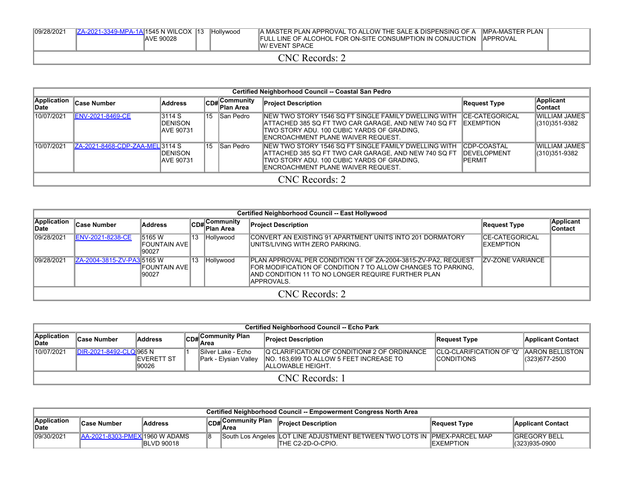| 09/28/2021 | ZA-2021-3349-MPA-1A 1545 N WILCOX 13 | <b>AVE 90028</b> | <b>Hollywood</b> | A MASTER PLAN APPROVAL TO ALLOW THE SALE & DISPENSING OF A MPA-MASTER PLAN<br>FULL LINE OF ALCOHOL FOR ON-SITE CONSUMPTION IN CONJUCTION<br><b>IW/ EVENT SPACE</b> | <b>IAPPROVAL</b> |  |
|------------|--------------------------------------|------------------|------------------|--------------------------------------------------------------------------------------------------------------------------------------------------------------------|------------------|--|
|            |                                      |                  |                  | CNC Records: 2                                                                                                                                                     |                  |  |

|                      | Certified Neighborhood Council -- Coastal San Pedro |                                               |    |                           |                                                                                                                                                                                                           |                                                    |                                       |  |  |  |  |
|----------------------|-----------------------------------------------------|-----------------------------------------------|----|---------------------------|-----------------------------------------------------------------------------------------------------------------------------------------------------------------------------------------------------------|----------------------------------------------------|---------------------------------------|--|--|--|--|
| Application<br>∣Date | <b>Case Number</b>                                  | Address                                       |    | CD#Community<br>Plan Area | <b>Project Description</b>                                                                                                                                                                                | <b>Request Type</b>                                | <b>Applicant</b><br><b>Contact</b>    |  |  |  |  |
| 10/07/2021           | <b>ENV-2021-8469-CE</b>                             | 3114 S<br><b>IDENISON</b><br><b>AVE 90731</b> | 15 | San Pedro                 | INEW TWO STORY 1546 SQ FT SINGLE FAMILY DWELLING WITH<br>ATTACHED 385 SQ FT TWO CAR GARAGE, AND NEW 740 SQ FT<br>TWO STORY ADU. 100 CUBIC YARDS OF GRADING,<br><b>IENCROACHMENT PLANE WAIVER REQUEST.</b> | ICE-CATEGORICAL<br><b>IEXEMPTION</b>               | WILLIAM JAMES<br>(310)351-9382        |  |  |  |  |
| 10/07/2021           | ZA-2021-8468-CDP-ZAA-MEL3114 S                      | <b>IDENISON</b><br><b>AVE 90731</b>           | 15 | San Pedro                 | INEW TWO STORY 1546 SQ FT SINGLE FAMILY DWELLING WITH<br>ATTACHED 385 SQ FT TWO CAR GARAGE, AND NEW 740 SQ FT<br>TWO STORY ADU. 100 CUBIC YARDS OF GRADING,<br><b>IENCROACHMENT PLANE WAIVER REQUEST.</b> | CDP-COASTAL<br><b>DEVELOPMENT</b><br><b>PERMIT</b> | <b>WILLIAM JAMES</b><br>(310)351-9382 |  |  |  |  |
|                      |                                                     |                                               |    |                           | CNC Records: 2                                                                                                                                                                                            |                                                    |                                       |  |  |  |  |

|                             | Certified Neighborhood Council -- East Hollywood |                                    |  |                           |                                                                                                                                                                                                      |                              |                       |  |  |  |  |  |  |  |
|-----------------------------|--------------------------------------------------|------------------------------------|--|---------------------------|------------------------------------------------------------------------------------------------------------------------------------------------------------------------------------------------------|------------------------------|-----------------------|--|--|--|--|--|--|--|
| <b>Application</b><br>∥Date | <b>Case Number</b>                               | <b>Address</b>                     |  | CD#Community<br>Plan Area | <b>Project Description</b>                                                                                                                                                                           | Request Type                 | Applicant<br>∣Contact |  |  |  |  |  |  |  |
| 09/28/2021                  | <b>ENV-2021-8238-CE</b>                          | 5165 W<br>IFOUNTAIN AVE I<br>90027 |  | 13 Hollywood              | CONVERT AN EXISTING 91 APARTMENT UNITS INTO 201 DORMATORY<br>IUNITS/LIVING WITH ZERO PARKING.                                                                                                        | ICE-CATEGORICAL<br>EXEMPTION |                       |  |  |  |  |  |  |  |
| 09/28/2021                  | ZA-2004-3815-ZV-PA3 5165 W                       | FOUNTAIN AVE <br>90027             |  | 13 Hollywood              | PLAN APPROVAL PER CONDITION 11 OF ZA-2004-3815-ZV-PA2, REQUEST<br>FOR MODIFICATION OF CONDITION 7 TO ALLOW CHANGES TO PARKING.<br>IAND CONDITION 11 TO NO LONGER REQUIRE FURTHER PLAN<br> APPROVALS. | IZV-ZONE VARIANCE            |                       |  |  |  |  |  |  |  |
|                             |                                                  | CNC Records: 2                     |  |                           |                                                                                                                                                                                                      |                              |                       |  |  |  |  |  |  |  |

| <b>Certified Neighborhood Council -- Echo Park</b> |                         |                             |  |                                               |                                                                                                                |                                                               |                          |  |  |  |  |  |
|----------------------------------------------------|-------------------------|-----------------------------|--|-----------------------------------------------|----------------------------------------------------------------------------------------------------------------|---------------------------------------------------------------|--------------------------|--|--|--|--|--|
| Application<br>∣Date                               | ∣Case Number            | Address                     |  | CD#Community Plan<br>Area                     | <b>Project Description</b>                                                                                     | Request Type                                                  | <b>Applicant Contact</b> |  |  |  |  |  |
| 10/07/2021                                         | DIR-2021-8492-CLQ 965 N | <b>IEVERETT ST</b><br>90026 |  | ISilver Lake - Echo<br>∥Park - Elysian Valley | IQ CLARIFICATION OF CONDITION# 2 OF ORDINANCE<br>NO. 163,699 TO ALLOW 5 FEET INCREASE TO<br>IALLOWABLE HEIGHT. | CLQ-CLARIFICATION OF 'Q' AARON BELLISTON<br><b>CONDITIONS</b> | $ (323)677-2500$         |  |  |  |  |  |
| CNC Records: 1                                     |                         |                             |  |                                               |                                                                                                                |                                                               |                          |  |  |  |  |  |

| Certified Neighborhood Council -- Empowerment Congress North Area |                                                                                                                               |                                |  |  |                                                                                                 |                   |                                       |  |  |  |  |  |
|-------------------------------------------------------------------|-------------------------------------------------------------------------------------------------------------------------------|--------------------------------|--|--|-------------------------------------------------------------------------------------------------|-------------------|---------------------------------------|--|--|--|--|--|
| Application<br><b>IDate</b>                                       | CD#Community Plan<br><b>Project Description</b><br><b>Address</b><br>∣Case Number<br>Request Type<br><b>Applicant Contact</b> |                                |  |  |                                                                                                 |                   |                                       |  |  |  |  |  |
| 109/30/2021                                                       | LAA-2021-8303-PMEX                                                                                                            | :XI1960 W ADAMS<br>IBLVD 90018 |  |  | South Los Angeles LOT LINE ADJUSTMENT BETWEEN TWO LOTS IN IPMEX-PARCEL MAP<br>THE C2-2D-O-CPIO. | <b>IEXEMPTION</b> | <b>IGREGORY BELL</b><br>(323)935-0900 |  |  |  |  |  |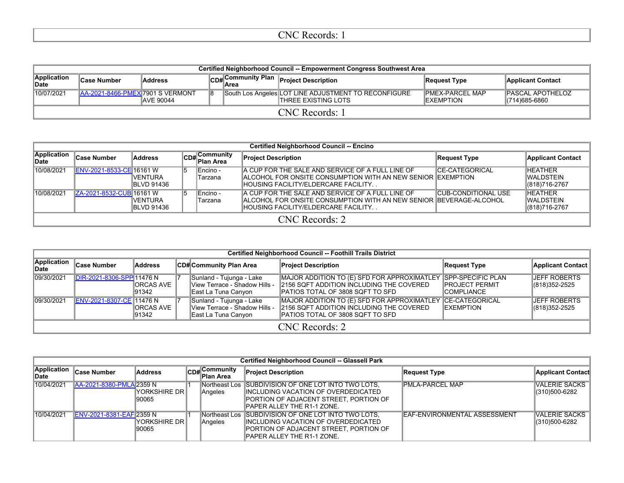| Certified Neighborhood Council -- Empowerment Congress Southwest Area |                                          |                  |    |  |                                                                                     |                                       |                                            |  |  |  |  |  |
|-----------------------------------------------------------------------|------------------------------------------|------------------|----|--|-------------------------------------------------------------------------------------|---------------------------------------|--------------------------------------------|--|--|--|--|--|
| Application<br>∣Date                                                  | <b>Case Number</b>                       | <b>Address</b>   |    |  | CD# Community Plan<br>Area                                                          | Request Type                          | <b>Applicant Contact</b>                   |  |  |  |  |  |
| 10/07/2021                                                            | <b>JAA-2021-8466-PMEXJ7901 S VERMONT</b> | <b>AVE 90044</b> | 18 |  | South Los Angeles LOT LINE ADJUSTMENT TO RECONFIGURE<br><b>ITHREE EXISTING LOTS</b> | IPMEX-PARCEL MAP<br><b>IEXEMPTION</b> | <b>IPASCAL APOTHELOZ</b><br>(714) 685-6860 |  |  |  |  |  |
| CNC Records: 1                                                        |                                          |                  |    |  |                                                                                     |                                       |                                            |  |  |  |  |  |

|                      | <b>Certified Neighborhood Council -- Encino</b> |                                      |     |                                   |                                                                                                                                                                 |                            |                                                |  |  |  |  |  |
|----------------------|-------------------------------------------------|--------------------------------------|-----|-----------------------------------|-----------------------------------------------------------------------------------------------------------------------------------------------------------------|----------------------------|------------------------------------------------|--|--|--|--|--|
| Application<br>∣Date | <b>Case Number</b>                              | Address                              |     | CD#Community<br><b>∣Plan Area</b> | <b>Project Description</b>                                                                                                                                      | Request Type               | <b>Applicant Contact</b>                       |  |  |  |  |  |
| 10/08/2021           | ENV-2021-8533-CE 16161 W                        | IVENTURA<br><b>IBLVD 91436</b>       | 15. | ∥Encino -<br>Tarzana              | IA CUP FOR THE SALE AND SERVICE OF A FULL LINE OF<br>IALCOHOL FOR ONSITE CONSUMPTION WITH AN NEW SENIOR IEXEMPTION<br>HOUSING FACILITY/ELDERCARE FACILITY       | <b>ICE-CATEGORICAL</b>     | <b>HEATHER</b><br>IWALDSTEIN<br>(818) 716-2767 |  |  |  |  |  |
| 10/08/2021           | IZA-2021-8532-CUBI16161 W                       | <b>IVENTURA</b><br><b>BLVD 91436</b> | 5   | Encino -<br>Tarzana               | A CUP FOR THE SALE AND SERVICE OF A FULL LINE OF<br>IALCOHOL FOR ONSITE CONSUMPTION WITH AN NEW SENIOR IBEVERAGE-ALCOHOL<br>HOUSING FACILITY/ELDERCARE FACILITY | <b>CUB-CONDITIONAL USE</b> | <b>HEATHER</b><br>IWALDSTEIN<br>(818)716-2767  |  |  |  |  |  |
|                      | CNC Records: 2                                  |                                      |     |                                   |                                                                                                                                                                 |                            |                                                |  |  |  |  |  |

|                      | <b>Certified Neighborhood Council -- Foothill Trails District</b> |                      |  |                                                                                  |                                                                                                                                                       |                                              |                                         |  |  |  |  |  |  |  |
|----------------------|-------------------------------------------------------------------|----------------------|--|----------------------------------------------------------------------------------|-------------------------------------------------------------------------------------------------------------------------------------------------------|----------------------------------------------|-----------------------------------------|--|--|--|--|--|--|--|
| Application<br>∣Date | <b>Case Number</b>                                                | Address              |  | CD# Community Plan Area                                                          | <b>Project Description</b>                                                                                                                            | Request Type                                 | Applicant Contact                       |  |  |  |  |  |  |  |
| 09/30/2021           | DIR-2021-8306-SPP 11476 N                                         | IORCAS AVE<br>191342 |  | Sunland - Tujunga - Lake<br>View Terrace - Shadow Hills -<br>East La Tuna Canyon | MAJOR ADDITION TO (E) SFD FOR APPROXIMATLEY SPP-SPECIFIC PLAN<br>2156 SQFT ADDITION INCLUDING THE COVERED<br><b>IPATIOS TOTAL OF 3808 SQFT TO SFD</b> | <b>IPROJECT PERMIT</b><br><b>ICOMPLIANCE</b> | <b>JEFF ROBERTS</b><br>$ (818)352-2525$ |  |  |  |  |  |  |  |
| 09/30/2021           | ENV-2021-8307-CE 11476 N                                          | IORCAS AVE<br>191342 |  | Sunland - Tujunga - Lake<br>View Terrace - Shadow Hills -<br>East La Tuna Canyon | MAJOR ADDITION TO (E) SFD FOR APPROXIMATLEY CE-CATEGORICAL<br>2156 SQFT ADDITION INCLUDING THE COVERED<br><b>IPATIOS TOTAL OF 3808 SQFT TO SFD</b>    | <b>IEXEMPTION</b>                            | <b>JEFF ROBERTS</b><br>$ (818)352-2525$ |  |  |  |  |  |  |  |
|                      | CNC Records: 2                                                    |                      |  |                                                                                  |                                                                                                                                                       |                                              |                                         |  |  |  |  |  |  |  |

|                      | Certified Neighborhood Council -- Glassell Park |                         |  |                           |                                                                                                                                                                      |                              |                                |  |  |  |  |  |  |
|----------------------|-------------------------------------------------|-------------------------|--|---------------------------|----------------------------------------------------------------------------------------------------------------------------------------------------------------------|------------------------------|--------------------------------|--|--|--|--|--|--|
| Application<br>∣Date | <b>Case Number</b>                              | Address                 |  | CD#Community<br>Plan Area | <b>Project Description</b>                                                                                                                                           | Request Type                 | <b>Applicant Contact</b>       |  |  |  |  |  |  |
| 10/04/2021           | AA-2021-8380-PMLA 2359 N                        | YORKSHIRE DR <br>190065 |  | Angeles                   | Northeast Los SUBDIVISION OF ONE LOT INTO TWO LOTS.<br>IINCLUDING VACATION OF OVERDEDICATED<br>IPORTION OF ADJACENT STREET. PORTION OF<br>PAPER ALLEY THE R1-1 ZONE. | IPMLA-PARCEL MAP             | VALERIE SACKS<br>(310)500-6282 |  |  |  |  |  |  |
| 10/04/2021           | ENV-2021-8381-EAF 2359 N                        | YORKSHIRE DR <br>190065 |  | Northeast Los<br>Angeles  | SUBDIVISION OF ONE LOT INTO TWO LOTS.<br>IINCLUDING VACATION OF OVERDEDICATED<br>PORTION OF ADJACENT STREET, PORTION OF<br>PAPER ALLEY THE R1-1 ZONE.                | EAF-ENVIRONMENTAL ASSESSMENT | VALERIE SACKS<br>(310)500-6282 |  |  |  |  |  |  |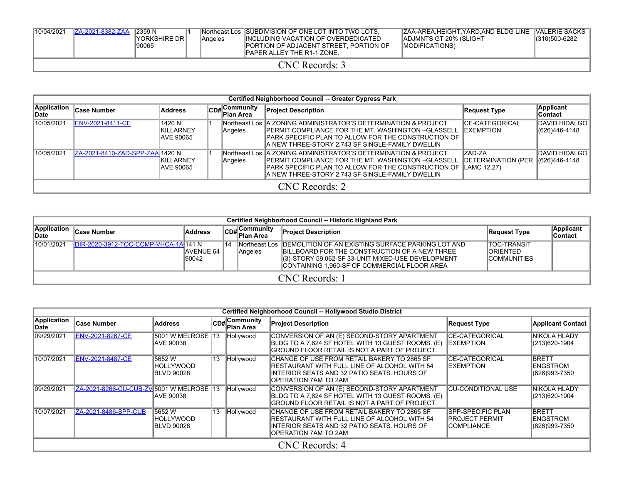| 10/04/2021 | IZA-2021-8382-ZAA | 12359 N<br>IYORKSHIRE DR I<br>90065 | <b>Angeles</b> | Northeast Los ISUBDIVISION OF ONE LOT INTO TWO LOTS.<br>IINCLUDING VACATION OF OVERDEDICATED<br><b>IPORTION OF ADJACENT STREET. PORTION OF</b><br><b>IPAPER ALLEY THE R1-1 ZONE.</b> | ZAA-AREA, HEIGHT, YARD, AND BLDG LINE VALERIE SACKS<br><b>IADJMNTS GT 20% (SLIGHT)</b><br><b>IMODIFICATIONS)</b> | (310)500-6282 |
|------------|-------------------|-------------------------------------|----------------|--------------------------------------------------------------------------------------------------------------------------------------------------------------------------------------|------------------------------------------------------------------------------------------------------------------|---------------|
|            |                   |                                     |                | CNC Records: 3                                                                                                                                                                       |                                                                                                                  |               |

|                      | Certified Neighborhood Council -- Greater Cypress Park |                                          |  |                                        |                                                                                                                                                                                                                                               |                                             |                                          |  |  |  |  |  |  |
|----------------------|--------------------------------------------------------|------------------------------------------|--|----------------------------------------|-----------------------------------------------------------------------------------------------------------------------------------------------------------------------------------------------------------------------------------------------|---------------------------------------------|------------------------------------------|--|--|--|--|--|--|
| Application<br>∥Date | <b>Case Number</b>                                     | <b>Address</b>                           |  | $C_{DB}$ Community<br><b>Plan Area</b> | <b>Project Description</b>                                                                                                                                                                                                                    | Request Type                                | Applicant<br>∣Contact                    |  |  |  |  |  |  |
| 10/05/2021           | <b>ENV-2021-8411-CE</b>                                | 1420 N<br><b>KILLARNEY</b><br>IAVE 90065 |  | Angeles                                | INortheast Los IA ZONING ADMINISTRATOR'S DETERMINATION & PROJECT<br><b>IPERMIT COMPLIANCE FOR THE MT. WASHINGTON –GLASSELL</b><br>IPARK SPECIFIC PLAN TO ALLOW FOR THE CONSTRUCTION OF<br>A NEW THREE-STORY 2,743 SF SINGLE-FAMILY DWELLIN    | <b>ICE-CATEGORICAL</b><br><b>IEXEMPTION</b> | <b>IDAVID HIDALGO I</b><br>(626)446-4148 |  |  |  |  |  |  |
| 10/05/2021           | ZA-2021-8410-ZAD-SPP-ZAA 1420 N                        | <b>KILLARNEY</b><br>IAVE 90065           |  | Angeles                                | Northeast Los A ZONING ADMINISTRATOR'S DETERMINATION & PROJECT<br>IPERMIT COMPLIANCE FOR THE MT. WASHINGTON –GLASSELL<br>PARK SPECIFIC PLAN TO ALLOW FOR THE CONSTRUCTION OF ILAMC 12.27)<br>A NEW THREE-STORY 2,743 SF SINGLE-FAMILY DWELLIN | ZAD-ZA<br><b>IDETERMINATION (PER</b>        | <b>DAVID HIDALGO</b><br>$ (626)446-4148$ |  |  |  |  |  |  |
|                      | CNC Records: 2                                         |                                          |  |                                        |                                                                                                                                                                                                                                               |                                             |                                          |  |  |  |  |  |  |

|                             | Certified Neighborhood Council -- Historic Highland Park |                            |    |                            |                                                                                                                                                                                                                                 |                                                               |                      |  |  |  |  |  |  |
|-----------------------------|----------------------------------------------------------|----------------------------|----|----------------------------|---------------------------------------------------------------------------------------------------------------------------------------------------------------------------------------------------------------------------------|---------------------------------------------------------------|----------------------|--|--|--|--|--|--|
| Application<br><b>IDate</b> | <b>Case Number</b>                                       | <b>Address</b>             |    | CD# Community<br>Plan Area | <b>Project Description</b>                                                                                                                                                                                                      | Request Type                                                  | Applicant<br>Contact |  |  |  |  |  |  |
| 10/01/2021                  | <b>IDIR-2020-3912-TOC-CCMP-VHCA-1A 141 N</b>             | <b>IAVENUE 64</b><br>90042 | 14 | Angeles                    | INortheast Los IDEMOLITION OF AN EXISTING SURFACE PARKING LOT AND<br><b>IBILLBOARD FOR THE CONSTRUCTION OF A NEW THREE</b><br>(3)-STORY 59,062-SF 33-UNIT MIXED-USE DEVELOPMENT<br>CONTAINING 1,960-SF OF COMMERCIAL FLOOR AREA | <b>TOC-TRANSIT</b><br><b>IORIENTED</b><br><b>ICOMMUNITIES</b> |                      |  |  |  |  |  |  |
|                             | CNC Records: 1                                           |                            |    |                            |                                                                                                                                                                                                                                 |                                                               |                      |  |  |  |  |  |  |

|                      | Certified Neighborhood Council -- Hollywood Studio District |                                                   |     |                            |                                                                                                                                                                     |                                                             |                                                     |  |  |  |  |  |  |  |
|----------------------|-------------------------------------------------------------|---------------------------------------------------|-----|----------------------------|---------------------------------------------------------------------------------------------------------------------------------------------------------------------|-------------------------------------------------------------|-----------------------------------------------------|--|--|--|--|--|--|--|
| Application<br>∣Date | <b>Case Number</b>                                          | <b>Address</b>                                    |     | CD#Community<br>lPlan Area | <b>Project Description</b>                                                                                                                                          | <b>Request Type</b>                                         | <b>Applicant Contact</b>                            |  |  |  |  |  |  |  |
| 09/29/2021           | <b>ENV-2021-8267-CE</b>                                     | 5001 W MELROSE 13<br><b>AVE 90038</b>             |     | Hollywood                  | CONVERSION OF AN (E) SECOND-STORY APARTMENT<br>BLDG TO A 7.624 SF HOTEL WITH 13 GUEST ROOMS. (E)<br>GROUND FLOOR RETAIL IS NOT A PART OF PROJECT.                   | <b>CE-CATEGORICAL</b><br><b>IEXEMPTION</b>                  | <b>NIKOLA HLADY</b><br>(213) 620-1904               |  |  |  |  |  |  |  |
| 10/07/2021           | <b>ENV-2021-8487-CE</b>                                     | 15652 W<br><b>IHOLLYWOOD</b><br><b>BLVD 90028</b> | 13. | Hollywood                  | CHANGE OF USE FROM RETAIL BAKERY TO 2865 SF<br>IRESTAURANT WITH FULL LINE OF ALCOHOL WITH 54<br>INTERIOR SEATS AND 32 PATIO SEATS. HOURS OF<br>OPERATION 7AM TO 2AM | ICE-CATEGORICAL<br><b>EXEMPTION</b>                         | <b>IBRETT</b><br><b>ENGSTROM</b><br>(626)993-7350   |  |  |  |  |  |  |  |
| 09/29/2021           | ZA-2021-8266-CU-CUB-ZV 5001 W MELROSE 13                    | <b>AVE 90038</b>                                  |     | Hollywood                  | CONVERSION OF AN (E) SECOND-STORY APARTMENT<br>BLDG TO A 7,624 SF HOTEL WITH 13 GUEST ROOMS. (E)<br>GROUND FLOOR RETAIL IS NOT A PART OF PROJECT.                   | <b>CU-CONDITIONAL USE</b>                                   | NIKOLA HLADY<br>$ (213)620-1904$                    |  |  |  |  |  |  |  |
| 10/07/2021           | ZA-2021-8486-SPP-CUB                                        | 15652 W<br><b>HOLLYWOOD</b><br><b>BLVD 90028</b>  | 13  | Hollywood                  | CHANGE OF USE FROM RETAIL BAKERY TO 2865 SF<br>IRESTAURANT WITH FULL LINE OF ALCOHOL WITH 54<br>INTERIOR SEATS AND 32 PATIO SEATS. HOURS OF<br>OPERATION 7AM TO 2AM | ISPP-SPECIFIC PLAN<br>IPROJECT PERMIT<br><b>ICOMPLIANCE</b> | <b>IBRETT</b><br><b>IENGSTROM</b><br>(626) 993-7350 |  |  |  |  |  |  |  |
|                      |                                                             |                                                   |     |                            | CNC Records: 4                                                                                                                                                      |                                                             |                                                     |  |  |  |  |  |  |  |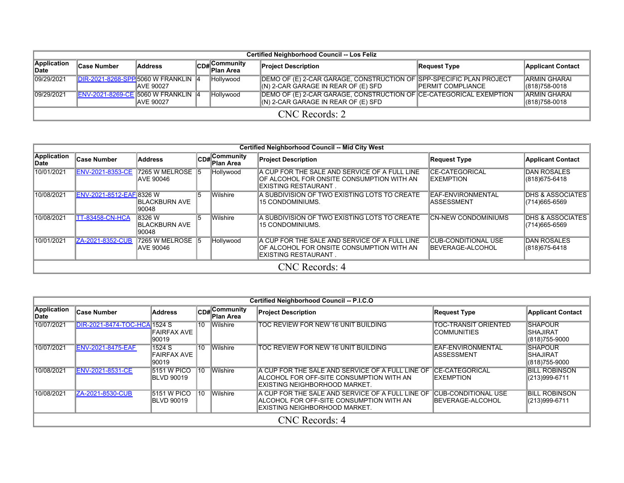|                      | <b>Certified Neighborhood Council -- Los Feliz</b> |                   |  |                                                   |                                                                                                             |                           |                                          |  |  |  |  |  |  |
|----------------------|----------------------------------------------------|-------------------|--|---------------------------------------------------|-------------------------------------------------------------------------------------------------------------|---------------------------|------------------------------------------|--|--|--|--|--|--|
| Application<br>∥Date | <b>Case Number</b>                                 | <b>Address</b>    |  | , Community<br>lCD# C <sup>Om…</sup><br>Plan Area | <b>Project Description</b>                                                                                  | Request Type              | <b>Applicant Contact</b>                 |  |  |  |  |  |  |
| 09/29/2021           | DIR-2021-8268-SPP 5060 W FRANKLIN 4                | <b>JAVE 90027</b> |  | Hollywood                                         | IDEMO OF (E) 2-CAR GARAGE, CONSTRUCTION OF SPP-SPECIFIC PLAN PROJECT<br>(N) 2-CAR GARAGE IN REAR OF (E) SFD | <b>IPERMIT COMPLIANCE</b> | <b>IARMIN GHARAI</b><br>$ (818)758-0018$ |  |  |  |  |  |  |
| 09/29/2021           | <b>ENV-2021-8269-CE 5060 W FRANKLIN 4</b>          | <b>IAVE 90027</b> |  | Hollywood                                         | DEMO OF (E) 2-CAR GARAGE, CONSTRUCTION OF CE-CATEGORICAL EXEMPTION<br>$(N)$ 2-CAR GARAGE IN REAR OF (E) SFD |                           | <b>ARMIN GHARAI</b><br>(818) 758-0018    |  |  |  |  |  |  |
| CNC Records: 2       |                                                    |                   |  |                                                   |                                                                                                             |                           |                                          |  |  |  |  |  |  |

|                      | <b>Certified Neighborhood Council -- Mid City West</b> |                                           |    |                                     |                                                                                                                     |                                                |                                              |  |  |  |  |  |  |
|----------------------|--------------------------------------------------------|-------------------------------------------|----|-------------------------------------|---------------------------------------------------------------------------------------------------------------------|------------------------------------------------|----------------------------------------------|--|--|--|--|--|--|
| Application<br>∣Date | <b>Case Number</b>                                     | <b>Address</b>                            |    | $CD#$ Community<br><b>Plan Area</b> | <b>Project Description</b>                                                                                          | Request Type                                   | <b>Applicant Contact</b>                     |  |  |  |  |  |  |
| 10/01/2021           | <b>ENV-2021-8353-CE</b>                                | 7265 W MELROSE 15<br><b>JAVE 90046</b>    |    | Hollywood                           | A CUP FOR THE SALE AND SERVICE OF A FULL LINE<br>OF ALCOHOL FOR ONSITE CONSUMPTION WITH AN<br>IEXISTING RESTAURANT. | <b>CE-CATEGORICAL</b><br><b>IEXEMPTION</b>     | <b>DAN ROSALES</b><br>(818) 675-6418         |  |  |  |  |  |  |
| 10/08/2021           | ENV-2021-8512-EAF 8326 W                               | <b>IBLACKBURN AVE</b><br>190048           | 15 | <b>Wilshire</b>                     | A SUBDIVISION OF TWO EXISTING LOTS TO CREATE<br>15 CONDOMINIUMS.                                                    | EAF-ENVIRONMENTAL<br>IASSESSMENT               | <b>DHS &amp; ASSOCIATES</b><br>(714)665-6569 |  |  |  |  |  |  |
| 10/08/2021           | <b>TT-83458-CN-HCA</b>                                 | 8326 W<br><b>IBLACKBURN AVE</b><br>190048 | 15 | Wilshire                            | A SUBDIVISION OF TWO EXISTING LOTS TO CREATE<br>15 CONDOMINIUMS.                                                    | <b>CN-NEW CONDOMINIUMS</b>                     | <b>DHS &amp; ASSOCIATES</b><br>(714)665-6569 |  |  |  |  |  |  |
| 10/01/2021           | ZA-2021-8352-CUB                                       | 7265 W MELROSE 5<br><b>JAVE 90046</b>     |    | Hollywood                           | A CUP FOR THE SALE AND SERVICE OF A FULL LINE<br>OF ALCOHOL FOR ONSITE CONSUMPTION WITH AN<br>IEXISTING RESTAURANT. | <b>CUB-CONDITIONAL USE</b><br>BEVERAGE-ALCOHOL | <b>DAN ROSALES</b><br>(818) 675-6418         |  |  |  |  |  |  |
|                      | CNC Records: 4                                         |                                           |    |                                     |                                                                                                                     |                                                |                                              |  |  |  |  |  |  |

|                      | Certified Neighborhood Council -- P.I.C.O |                                         |                 |                                  |                                                                                                                                 |                                                |                                                     |  |  |  |  |  |  |
|----------------------|-------------------------------------------|-----------------------------------------|-----------------|----------------------------------|---------------------------------------------------------------------------------------------------------------------------------|------------------------------------------------|-----------------------------------------------------|--|--|--|--|--|--|
| Application<br>∣Date | Case Number                               | <b>Address</b>                          |                 | CD#Community<br><b>Plan Area</b> | <b>Project Description</b>                                                                                                      | <b>Request Type</b>                            | <b>Applicant Contact</b>                            |  |  |  |  |  |  |
| 10/07/2021           | DIR-2021-8474-TOC-HCA 1524 S              | FAIRFAX AVE<br>90019                    | 10              | <b>Wilshire</b>                  | TOC REVIEW FOR NEW 16 UNIT BUILDING                                                                                             | <b>TOC-TRANSIT ORIENTED</b><br>ICOMMUNITIES    | <b>SHAPOUR</b><br><b>SHAJIRAT</b><br>(818) 755-9000 |  |  |  |  |  |  |
| 10/07/2021           | <b>ENV-2021-8475-EAF</b>                  | 1524 S<br><b>FAIRFAX AVE</b><br>90019   | 10              | <b>Wilshire</b>                  | TOC REVIEW FOR NEW 16 UNIT BUILDING                                                                                             | EAF-ENVIRONMENTAL<br><b>ASSESSMENT</b>         | <b>SHAPOUR</b><br><b>SHAJIRAT</b><br>(818)755-9000  |  |  |  |  |  |  |
| 10/08/2021           | <b>ENV-2021-8531-CE</b>                   | <b>5151 W PICO</b><br><b>BLVD 90019</b> | 110             | <b>Wilshire</b>                  | A CUP FOR THE SALE AND SERVICE OF A FULL LINE OF<br>IALCOHOL FOR OFF-SITE CONSUMPTION WITH AN<br>IEXISTING NEIGHBORHOOD MARKET. | <b>ICE-CATEGORICAL</b><br><b>EXEMPTION</b>     | <b>BILL ROBINSON</b><br>(213)999-6711               |  |  |  |  |  |  |
| 10/08/2021           | ZA-2021-8530-CUB                          | <b>5151 W PICO</b><br><b>BLVD 90019</b> | $\overline{10}$ | <b>Wilshire</b>                  | A CUP FOR THE SALE AND SERVICE OF A FULL LINE OF<br>ALCOHOL FOR OFF-SITE CONSUMPTION WITH AN<br>EXISTING NEIGHBORHOOD MARKET.   | <b>CUB-CONDITIONAL USE</b><br>BEVERAGE-ALCOHOL | <b>BILL ROBINSON</b><br>(213)999-6711               |  |  |  |  |  |  |
|                      | CNC Records: 4                            |                                         |                 |                                  |                                                                                                                                 |                                                |                                                     |  |  |  |  |  |  |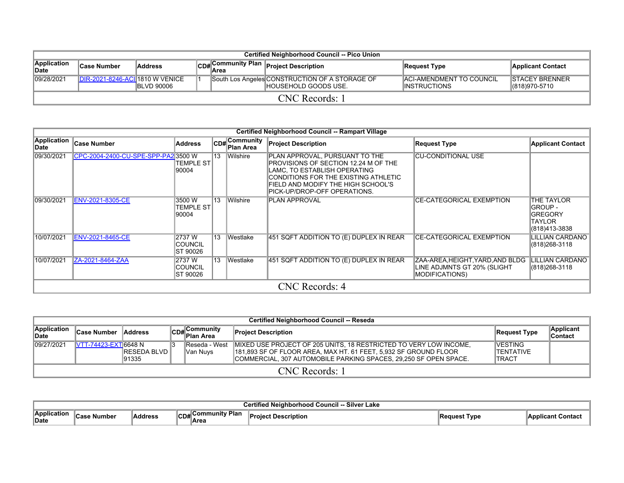|                      | <b>Certified Neighborhood Council -- Pico Union</b> |                    |  |                                    |                                                                         |                                                          |                                          |  |  |  |  |  |
|----------------------|-----------------------------------------------------|--------------------|--|------------------------------------|-------------------------------------------------------------------------|----------------------------------------------------------|------------------------------------------|--|--|--|--|--|
| Application<br>∥Date | <b>Case Number</b>                                  | <b>Address</b>     |  | <sup>ll</sup> CD#∣ <sub>Area</sub> | Community Plan Project Description اسمن                                 | Request Type                                             | Applicant Contact                        |  |  |  |  |  |
| 09/28/2021           | DIR-2021-8246-ACII1810 W VENICE                     | <b>IBLVD 90006</b> |  |                                    | South Los Angeles CONSTRUCTION OF A STORAGE OF<br>IHOUSEHOLD GOODS USE. | <b>IACI-AMENDMENT TO COUNCIL</b><br><b>IINSTRUCTIONS</b> | <b>ISTACEY BRENNER</b><br>(818) 970-5710 |  |  |  |  |  |
| CNC Records: 1       |                                                     |                    |  |                                    |                                                                         |                                                          |                                          |  |  |  |  |  |

|                     | Certified Neighborhood Council -- Rampart Village |                                     |                 |                                    |                                                                                                                                                                                                                      |                                                                                          |                                                                                  |  |  |  |  |  |  |
|---------------------|---------------------------------------------------|-------------------------------------|-----------------|------------------------------------|----------------------------------------------------------------------------------------------------------------------------------------------------------------------------------------------------------------------|------------------------------------------------------------------------------------------|----------------------------------------------------------------------------------|--|--|--|--|--|--|
| Application<br>Date | Case Number                                       | <b>Address</b>                      |                 | <b>CD#</b> Community<br>lPlan Area | <b>Project Description</b>                                                                                                                                                                                           | <b>Request Type</b>                                                                      | <b>Applicant Contact</b>                                                         |  |  |  |  |  |  |
| 09/30/2021          | CPC-2004-2400-CU-SPE-SPP-PA23500 W                | TEMPLE ST<br>90004                  | $\overline{13}$ | <b>Wilshire</b>                    | PLAN APPROVAL, PURSUANT TO THE<br>PROVISIONS OF SECTION 12.24 M OF THE<br>LAMC, TO ESTABLISH OPERATING<br>CONDITIONS FOR THE EXISTING ATHLETIC<br>FIELD AND MODIFY THE HIGH SCHOOL'S<br>PICK-UP/DROP-OFF OPERATIONS. | <b>CU-CONDITIONAL USE</b>                                                                |                                                                                  |  |  |  |  |  |  |
| 09/30/2021          | ENV-2021-8305-CE                                  | 3500 W<br><b>TEMPLE ST</b><br>90004 | 13              | <b>Wilshire</b>                    | IPLAN APPROVAL                                                                                                                                                                                                       | <b>CE-CATEGORICAL EXEMPTION</b>                                                          | THE TAYLOR<br><b>GROUP -</b><br><b>GREGORY</b><br><b>TAYLOR</b><br>(818)413-3838 |  |  |  |  |  |  |
| 10/07/2021          | <b>ENV-2021-8465-CE</b>                           | 2737 W<br>COUNCIL<br>ST 90026       | $ 13\rangle$    | <b>Westlake</b>                    | 451 SQFT ADDITION TO (E) DUPLEX IN REAR                                                                                                                                                                              | <b>CE-CATEGORICAL EXEMPTION</b>                                                          | LILLIAN CARDANO<br>(818) 268-3118                                                |  |  |  |  |  |  |
| 10/07/2021          | ZA-2021-8464-ZAA                                  | 2737 W<br>COUNCIL<br>ST 90026       |                 | 13 Westlake                        | 451 SQFT ADDITION TO (E) DUPLEX IN REAR                                                                                                                                                                              | ZAA-AREA, HEIGHT, YARD, AND BLDG<br>LINE ADJMNTS GT 20% (SLIGHT<br><b>MODIFICATIONS)</b> | LILLIAN CARDANO<br>(818) 268-3118                                                |  |  |  |  |  |  |
|                     | CNC Records: 4                                    |                                     |                 |                                    |                                                                                                                                                                                                                      |                                                                                          |                                                                                  |  |  |  |  |  |  |

|                            | Certified Neighborhood Council -- Reseda |                               |  |                            |                                                                                                                                                                                                           |                                             |                             |  |  |  |  |  |  |
|----------------------------|------------------------------------------|-------------------------------|--|----------------------------|-----------------------------------------------------------------------------------------------------------------------------------------------------------------------------------------------------------|---------------------------------------------|-----------------------------|--|--|--|--|--|--|
| Application<br><b>Date</b> | <b>Case Number</b>                       | <b>Address</b>                |  | CD#Community<br>Plan Area  | <b>Project Description</b>                                                                                                                                                                                | Request Type                                | <b>Applicant</b><br>Contact |  |  |  |  |  |  |
| 09/27/2021                 | <b>IVTT-74423-EXTI6648 N</b>             | <b>IRESEDA BLVD</b><br>191335 |  | Reseda - West<br>lVan Nuvs | MIXED USE PROJECT OF 205 UNITS, 18 RESTRICTED TO VERY LOW INCOME,<br>181,893 SF OF FLOOR AREA, MAX HT, 61 FEET, 5,932 SF GROUND FLOOR<br>COMMERCIAL. 307 AUTOMOBILE PARKING SPACES. 29.250 SF OPEN SPACE. | <b>VESTING</b><br>TENTATIVE<br><b>TRACT</b> |                             |  |  |  |  |  |  |
|                            | CNC Records: 1                           |                               |  |                            |                                                                                                                                                                                                           |                                             |                             |  |  |  |  |  |  |

|                                  | <b>Silver</b><br>$\sim$<br>' Lake∶ |         |                                |        |      |  |  |  |  |  |  |  |  |
|----------------------------------|------------------------------------|---------|--------------------------------|--------|------|--|--|--|--|--|--|--|--|
| --<br><b>Annlication</b><br>Date | nho<br>                            | Address | ∙ Plar.<br>.<br>90 D.<br>¶Are∝ | intior | 'vpe |  |  |  |  |  |  |  |  |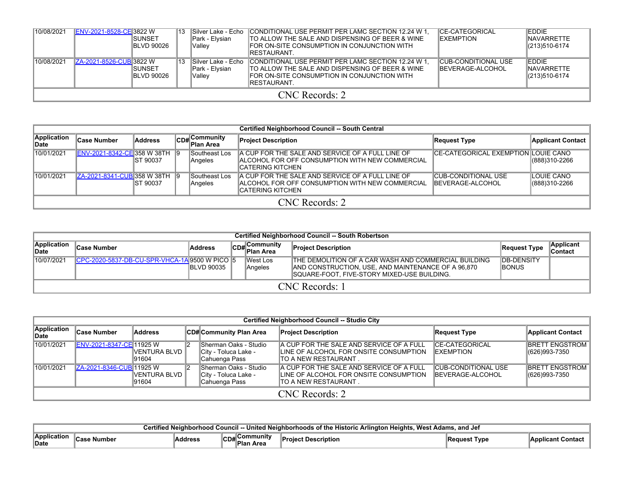| 10/08/2021 | ENV-2021-8528-CE 3822 W | ISUNSET<br><b>IBLVD 90026</b> | 13 | Park - Elysian<br>lVallev  | Silver Lake - Echo CONDITIONAL USE PERMIT PER LAMC SECTION 12.24 W 1.<br>TO ALLOW THE SALE AND DISPENSING OF BEER & WINE<br><b>IFOR ON-SITE CONSUMPTION IN CONJUNCTION WITH</b><br><b>IRESTAURANT</b> | <b>ICE-CATEGORICAL</b><br><b>IEXEMPTION</b>            | <b>EDDIE</b><br><b>INAVARRETTE</b><br>(213) 510-6174 |  |  |
|------------|-------------------------|-------------------------------|----|----------------------------|-------------------------------------------------------------------------------------------------------------------------------------------------------------------------------------------------------|--------------------------------------------------------|------------------------------------------------------|--|--|
| 10/08/2021 | ZA-2021-8526-CUB 3822 W | ISUNSET<br><b>IBLVD 90026</b> | 13 | lPark - Elvsian<br> Valley | Silver Lake - Echo CONDITIONAL USE PERMIT PER LAMC SECTION 12.24 W 1.<br>TO ALLOW THE SALE AND DISPENSING OF BEER & WINE<br>FOR ON-SITE CONSUMPTION IN CONJUNCTION WITH<br><b>IRESTAURANT</b>         | <b>CUB-CONDITIONAL USE</b><br><b>IBEVERAGE-ALCOHOL</b> | <b>EDDIE</b><br><b>INAVARRETTE</b><br>(213)510-6174  |  |  |
|            | CNC Records: 2          |                               |    |                            |                                                                                                                                                                                                       |                                                        |                                                      |  |  |

|                      |                               |           |  |                           | <b>Certified Neighborhood Council -- South Central</b>                                                                     |                                             |                               |  |  |
|----------------------|-------------------------------|-----------|--|---------------------------|----------------------------------------------------------------------------------------------------------------------------|---------------------------------------------|-------------------------------|--|--|
| Application<br>∣Date | ∣Case Number                  | Address   |  | CD#Community<br>Plan Area | <b>Project Description</b>                                                                                                 | <b>Request Type</b>                         | <b>Applicant Contact</b>      |  |  |
| 10/01/2021           | ENV-2021-8342-CE 358 W 38TH 9 | IST 90037 |  | Southeast Los<br>Angeles  | IA CUP FOR THE SALE AND SERVICE OF A FULL LINE OF<br>IALCOHOL FOR OFF CONSUMPTION WITH NEW COMMERCIAL<br>ICATERING KITCHEN | <b>ICE-CATEGORICAL EXEMPTION LOUIE CANO</b> | (888)310-2266                 |  |  |
| 10/01/2021           | ZA-2021-8341-CUB 358 W 38TH 9 | IST 90037 |  | Southeast Los<br>Angeles  | IA CUP FOR THE SALE AND SERVICE OF A FULL LINE OF<br>IALCOHOL FOR OFF CONSUMPTION WITH NEW COMMERCIAL<br>ICATERING KITCHEN | ICUB-CONDITIONAL USE<br>IBEVERAGE-ALCOHOL   | ILOUIE CANO<br>(888) 310-2266 |  |  |
|                      | CNC Records: 2                |           |  |                           |                                                                                                                            |                                             |                               |  |  |

|                      |                                                |                    |  |                            | Certified Neighborhood Council -- South Robertson                                                                                                         |                                     |                      |  |  |  |
|----------------------|------------------------------------------------|--------------------|--|----------------------------|-----------------------------------------------------------------------------------------------------------------------------------------------------------|-------------------------------------|----------------------|--|--|--|
| Application<br>∥Date | <b>Case Number</b>                             | Address            |  | CD# Community<br>Plan Area | <b>Project Description</b>                                                                                                                                | Request Type                        | Applicant<br>Contact |  |  |  |
| 10/07/2021           | ICPC-2020-5837-DB-CU-SPR-VHCA-1A 9500 W PICO 5 | <b>IBLVD 90035</b> |  | lWest Los<br>Angeles       | THE DEMOLITION OF A CAR WASH AND COMMERCIAL BUILDING<br>AND CONSTRUCTION, USE, AND MAINTENANCE OF A 96,870<br>SQUARE-FOOT, FIVE-STORY MIXED-USE BUILDING. | <b>IDB-DENSITY</b><br><b>IBONUS</b> |                      |  |  |  |
|                      | CNC Records: 1                                 |                    |  |                            |                                                                                                                                                           |                                     |                      |  |  |  |

|                             | Certified Neighborhood Council -- Studio City |                         |  |                                                                |                                                                                                             |                                                        |                                        |  |  |  |
|-----------------------------|-----------------------------------------------|-------------------------|--|----------------------------------------------------------------|-------------------------------------------------------------------------------------------------------------|--------------------------------------------------------|----------------------------------------|--|--|--|
| <b>Application</b><br>∣Date | ∣Case Number                                  | <b>Address</b>          |  | CD# Community Plan Area                                        | <b>Project Description</b>                                                                                  | <b>Request Type</b>                                    | <b>Applicant Contact</b>               |  |  |  |
| 10/01/2021                  | ENV-2021-8347-CE 11925 W                      | IVENTURA BLVD<br>191604 |  | Sherman Oaks - Studio<br>City - Toluca Lake -<br>Cahuenga Pass | A CUP FOR THE SALE AND SERVICE OF A FULL<br>ILINE OF ALCOHOL FOR ONSITE CONSUMPTION<br>ITO A NEW RESTAURANT | <b>CE-CATEGORICAL</b><br><b>IEXEMPTION</b>             | <b>BRETT ENGSTROM</b><br>(626)993-7350 |  |  |  |
| 10/01/2021                  | ZA-2021-8346-CUB 11925 W                      | IVENTURA BLVD<br>191604 |  | Sherman Oaks - Studio<br>City - Toluca Lake -<br>Cahuenga Pass | A CUP FOR THE SALE AND SERVICE OF A FULL<br>ILINE OF ALCOHOL FOR ONSITE CONSUMPTION<br>ITO A NEW RESTAURANT | <b>CUB-CONDITIONAL USE</b><br><b>IBEVERAGE-ALCOHOL</b> | <b>BRETT ENGSTROM</b><br>(626)993-7350 |  |  |  |
|                             | CNC Records: 2                                |                         |  |                                                                |                                                                                                             |                                                        |                                        |  |  |  |

| Mce<br>Jnited<br>and Jef<br>ounci<br>Adame<br>Heiahts |  |                |   |                  |       |                |                         |
|-------------------------------------------------------|--|----------------|---|------------------|-------|----------------|-------------------------|
| .<br><b>Application</b><br>Date                       |  | <b>Address</b> | . | `ommunit<br>Area | IDUON | Tvpe<br>aucst. | Abr<br>∵ontact<br>ncant |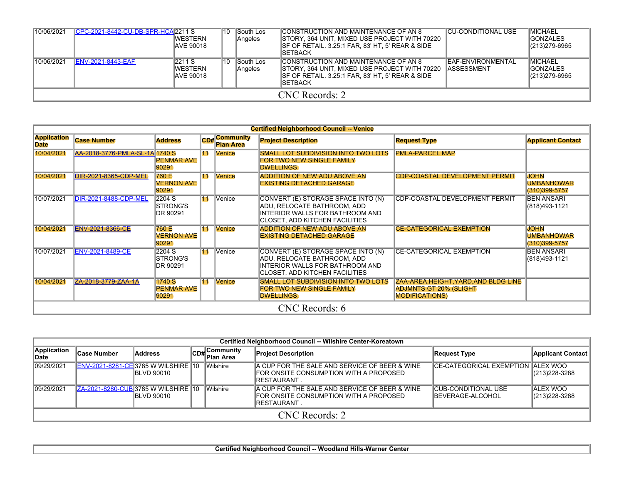| 10/06/2021     | CPC-2021-8442-CU-DB-SPR-HCA 2211 S | IWESTERN<br>IAVE 90018           | 10 | South Los<br><b>Angeles</b> | CONSTRUCTION AND MAINTENANCE OF AN 8<br>STORY, 364 UNIT, MIXED USE PROJECT WITH 70220<br>SF OF RETAIL. 3.25:1 FAR, 83' HT, 5' REAR & SIDE<br><b>ISETBACK</b>  | <b>CU-CONDITIONAL USE</b>                      | <b>IMICHAEL</b><br><b>IGONZALES</b><br>$ (213)279-6965$ |
|----------------|------------------------------------|----------------------------------|----|-----------------------------|---------------------------------------------------------------------------------------------------------------------------------------------------------------|------------------------------------------------|---------------------------------------------------------|
| 10/06/2021     | <b>ENV-2021-8443-EAF</b>           | 2211 S<br>IWESTERN<br>IAVE 90018 | 10 | South Los<br>Angeles        | CONSTRUCTION AND MAINTENANCE OF AN 8<br>STORY, 364 UNIT, MIXED USE PROJECT WITH 70220<br>ISF OF RETAIL. 3.25:1 FAR. 83' HT. 5' REAR & SIDE<br><b>ISETBACK</b> | <b>EAF-ENVIRONMENTAL</b><br><b>IASSESSMENT</b> | <b>IMICHAEL</b><br><b>IGONZALES</b><br>$ (213)279-6965$ |
| CNC Records: 2 |                                    |                                  |    |                             |                                                                                                                                                               |                                                |                                                         |

|                                   |                                |                                        |                 |                               | <b>Certified Neighborhood Council -- Venice</b>                                                                                        |                                                                                                 |                                                   |
|-----------------------------------|--------------------------------|----------------------------------------|-----------------|-------------------------------|----------------------------------------------------------------------------------------------------------------------------------------|-------------------------------------------------------------------------------------------------|---------------------------------------------------|
| <b>Application</b><br><b>Date</b> | <b>Case Number</b>             | <b>Address</b>                         | CDH             | Community<br><b>Plan Area</b> | <b>Project Description</b>                                                                                                             | <b>Request Type</b>                                                                             | <b>Applicant Contact</b>                          |
| 10/04/2021                        | AA-2018-3776-PMLA-SL-1A 1740 S | <b>PENMAR AVE</b><br>90291             | 11              | Venice                        | <b>SMALL LOT SUBDIVISION INTO TWO LOTS</b><br>FOR TWO NEW SINGLE FAMILY<br><b>DWELLINGS.</b>                                           | <b>PMLA-PARCEL MAP</b>                                                                          |                                                   |
| 10/04/2021                        | DIR-2021-8365-CDP-MEL          | 760 E<br><b>VERNON AVE</b><br>90291    | 11              | <b>Venice</b>                 | <b>ADDITION OF NEW ADU ABOVE AN</b><br><b>EXISTING DETACHED GARAGE</b>                                                                 | <b>CDP-COASTAL DEVELOPMENT PERMIT</b>                                                           | <b>JOHN</b><br><b>UMBANHOWAR</b><br>(310)399-5757 |
| 10/07/2021                        | DIR-2021-8488-CDP-MEL          | 2204 S<br><b>ISTRONG'S</b><br>DR 90291 | 11              | Venice                        | CONVERT (E) STORAGE SPACE INTO (N)<br>ADU, RELOCATE BATHROOM, ADD<br>INTERIOR WALLS FOR BATHROOM AND<br>CLOSET, ADD KITCHEN FACILITIES | CDP-COASTAL DEVELOPMENT PERMIT                                                                  | <b>BEN ANSARI</b><br>(818)493-1121                |
| 10/04/2021                        | <b>ENV-2021-8366-CE</b>        | 760 E<br><b>VERNON AVE</b><br>90291    | 11              | <b>Venice</b>                 | ADDITION OF NEW ADU ABOVE AN<br><b>EXISTING DETACHED GARAGE</b>                                                                        | <b>CE-CATEGORICAL EXEMPTION</b>                                                                 | <b>JOHN</b><br><b>UMBANHOWAR</b><br>(310)399-5757 |
| 10/07/2021                        | <b>ENV-2021-8489-CE</b>        | 2204 S<br><b>ISTRONG'S</b><br>DR 90291 | $\overline{11}$ | Venice                        | CONVERT (E) STORAGE SPACE INTO (N)<br>ADU, RELOCATE BATHROOM, ADD<br>INTERIOR WALLS FOR BATHROOM AND<br>CLOSET, ADD KITCHEN FACILITIES | <b>CE-CATEGORICAL EXEMPTION</b>                                                                 | <b>BEN ANSARI</b><br>(818)493-1121                |
| 10/04/2021                        | ZA-2018-3779-ZAA-1A            | 1740 S<br><b>PENMAR AVE</b><br>90291   | 11              | <b>Venice</b>                 | <b>SMALL LOT SUBDIVISION INTO TWO LOTS</b><br>FOR TWO NEW SINGLE FAMILY<br><b>DWELLINGS.</b>                                           | ZAA-AREA, HEIGHT, YARD, AND BLDG LINE<br><b>ADJMNTS GT 20% (SLIGHT</b><br><b>MODIFICATIONS)</b> |                                                   |
|                                   |                                |                                        |                 |                               | CNC Records: 6                                                                                                                         |                                                                                                 |                                                   |

|                      |                                            |                    |  |                           | Certified Neighborhood Council -- Wilshire Center-Koreatown                                                   |                                                  |                                   |  |  |
|----------------------|--------------------------------------------|--------------------|--|---------------------------|---------------------------------------------------------------------------------------------------------------|--------------------------------------------------|-----------------------------------|--|--|
| Application<br>∥Date | <b>Case Number</b>                         | <b>Address</b>     |  | CD#Community<br>Plan Area | <b>Project Description</b>                                                                                    | <b>Request Type</b>                              | Applicant Contact                 |  |  |
| 09/29/2021           | <b>ENV-2021-8281-CE 3785 W WILSHIRE 10</b> | <b>IBLVD 90010</b> |  | <b>Wilshire</b>           | A CUP FOR THE SALE AND SERVICE OF BEER & WINE<br>IFOR ONSITE CONSUMPTION WITH A PROPOSED<br>IRESTAURANT.      | CE-CATEGORICAL EXEMPTION ALEX WOO                | $(213)228 - 3288$                 |  |  |
| 09/29/2021           | ZA-2021-8280-CUB 3785 W WILSHIRE 10        | <b>IBLVD 90010</b> |  | Wilshire                  | A CUP FOR THE SALE AND SERVICE OF BEER & WINE<br>FOR ONSITE CONSUMPTION WITH A PROPOSED<br><b>IRESTAURANT</b> | ICUB-CONDITIONAL USE<br><b>IBEVERAGE-ALCOHOL</b> | <b>ALEX WOO</b><br>(213) 228-3288 |  |  |
|                      | CNC Records: 2                             |                    |  |                           |                                                                                                               |                                                  |                                   |  |  |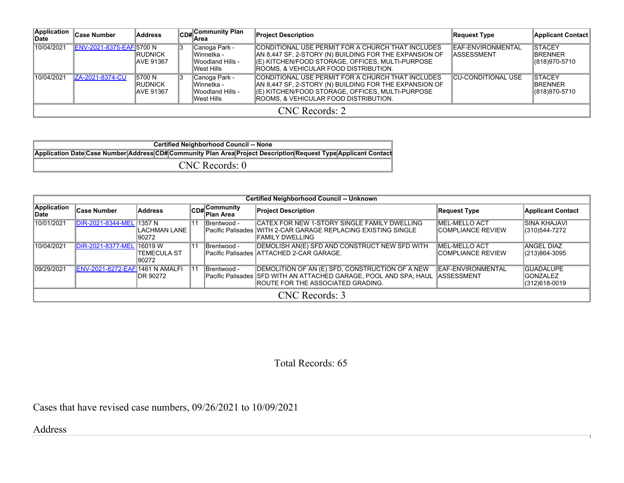| Application<br>∣Date | <b>Case Number</b>       | <b>Address</b>                               |  | CD# Community Plan                                                      | <b>Project Description</b>                                                                                                                                                                               | <b>Request Type</b>                     | Applicant Contact                                  |  |  |  |
|----------------------|--------------------------|----------------------------------------------|--|-------------------------------------------------------------------------|----------------------------------------------------------------------------------------------------------------------------------------------------------------------------------------------------------|-----------------------------------------|----------------------------------------------------|--|--|--|
| 10/04/2021           | ENV-2021-8375-EAF 5700 N | <b>IRUDNICK</b><br><b>IAVE 91367</b>         |  | Canoga Park -<br>IWinnetka -<br><b>IWoodland Hills -</b><br>lWest Hills | CONDITIONAL USE PERMIT FOR A CHURCH THAT INCLUDES<br>AN 8,447 SF, 2-STORY (N) BUILDING FOR THE EXPANSION OF<br>(E) KITCHEN/FOOD STORAGE, OFFICES, MULTI-PURPOSE<br>ROOMS, & VEHICULAR FOOD DISTRIBUTION. | EAF-ENVIRONMENTAL<br><b>IASSESSMENT</b> | <b>ISTACEY</b><br><b>IBRENNER</b><br>(818)970-5710 |  |  |  |
| 10/04/2021           | ZA-2021-8374-CU          | 5700N<br><b>IRUDNICK</b><br><b>AVE 91367</b> |  | Canoga Park -<br>lWinnetka -<br><b>IWoodland Hills -</b><br>lWest Hills | CONDITIONAL USE PERMIT FOR A CHURCH THAT INCLUDES<br>AN 8,447 SF, 2-STORY (N) BUILDING FOR THE EXPANSION OF<br>(E) KITCHEN/FOOD STORAGE, OFFICES, MULTI-PURPOSE<br>ROOMS, & VEHICULAR FOOD DISTRIBUTION. | <b>CU-CONDITIONAL USE</b>               | <b>ISTACEY</b><br><b>IBRENNER</b><br>(818)970-5710 |  |  |  |
|                      | CNC Records: 2           |                                              |  |                                                                         |                                                                                                                                                                                                          |                                         |                                                    |  |  |  |

| <b>Certified Neighborhood Council -- None</b>                                                                   |  |  |  |  |  |  |  |
|-----------------------------------------------------------------------------------------------------------------|--|--|--|--|--|--|--|
| Application Date Case Number Address CD# Community Plan Area Project Description Request Type Applicant Contact |  |  |  |  |  |  |  |
| $CNC$ Records: $0$                                                                                              |  |  |  |  |  |  |  |

|                      |                                         |                                 |    |                           | <b>Certified Neighborhood Council -- Unknown</b>                                                                                                                             |                                                   |                                                       |  |  |
|----------------------|-----------------------------------------|---------------------------------|----|---------------------------|------------------------------------------------------------------------------------------------------------------------------------------------------------------------------|---------------------------------------------------|-------------------------------------------------------|--|--|
| Application<br>∣Date | ∣Case Number                            | Address                         |    | CD#Community<br>Plan Area | <b>Project Description</b>                                                                                                                                                   | <b>Request Type</b>                               | <b>Applicant Contact</b>                              |  |  |
| 10/01/2021           | <b>DIR-2021-8344-MEL</b>                | 1357 N<br>LACHMAN LANE<br>90272 | 11 | Brentwood -               | CATEX FOR NEW 1-STORY SINGLE FAMILY DWELLING<br>Pacific Palisades WITH 2-CAR GARAGE REPLACING EXISTING SINGLE<br>IFAMILY DWELLING                                            | <b>MEL-MELLO ACT</b><br><b>ICOMPLIANCE REVIEW</b> | <b>SINA KHAJAVI</b><br>(310)544-7272                  |  |  |
| 10/04/2021           | DIR-2021-8377-MEL 16019 W               | ITEMECULA ST<br>90272           | 11 | Brentwood -               | DEMOLISH AN(E) SFD AND CONSTRUCT NEW SFD WITH<br>Pacific Palisades ATTACHED 2-CAR GARAGE.                                                                                    | <b>IMEL-MELLO ACT</b><br>ICOMPLIANCE REVIEW       | <b>ANGEL DIAZ</b><br>(213)864-3095                    |  |  |
| 09/29/2021           | <b>IENV-2021-8272-EAFI1461 N AMALFI</b> | <b>IDR 90272</b>                | 11 | Brentwood -               | DEMOLITION OF AN (E) SFD, CONSTRUCTION OF A NEW<br>Pacific Palisades SFD WITH AN ATTACHED GARAGE, POOL AND SPA; HAUL ASSESSMENT<br><b>IROUTE FOR THE ASSOCIATED GRADING.</b> | <b>IEAF-ENVIRONMENTAL</b>                         | <b>GUADALUPE</b><br><b>IGONZALEZ</b><br>(312)618-0019 |  |  |
|                      | CNC Records: 3                          |                                 |    |                           |                                                                                                                                                                              |                                                   |                                                       |  |  |

Total Records: 65

Cases that have revised case numbers, 09/26/2021 to 10/09/2021

Address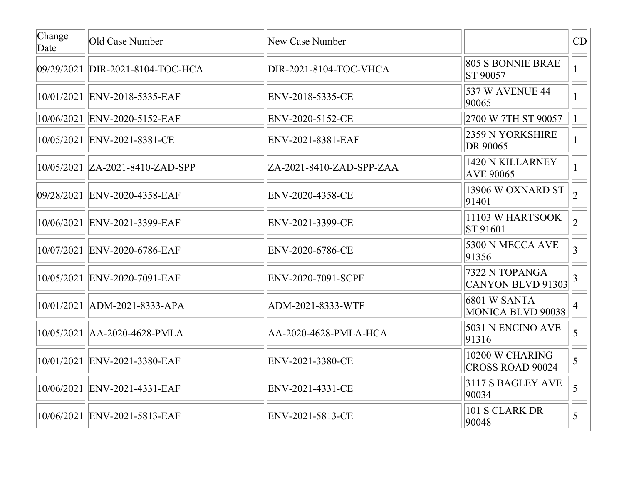| Change<br>Date | Old Case Number                     | New Case Number            |                                            | CD              |
|----------------|-------------------------------------|----------------------------|--------------------------------------------|-----------------|
|                | 09/29/2021 DIR-2021-8104-TOC-HCA    | DIR-2021-8104-TOC-VHCA     | 805 S BONNIE BRAE<br><b>ST 90057</b>       |                 |
|                | 10/01/2021 ENV-2018-5335-EAF        | ENV-2018-5335-CE           | 537 W AVENUE 44<br>90065                   | $\vert$ 1       |
|                | 10/06/2021  ENV-2020-5152-EAF       | ENV-2020-5152-CE           | 2700 W 7TH ST 90057                        |                 |
|                | 10/05/2021 ENV-2021-8381-CE         | ENV-2021-8381-EAF          | 2359 N YORKSHIRE<br>DR 90065               |                 |
|                | $ 10/05/2021 $ ZA-2021-8410-ZAD-SPP | $ZA-2021-8410-ZAD-SPP-ZAA$ | 1420 N KILLARNEY<br><b>AVE 90065</b>       |                 |
|                | 09/28/2021 ENV-2020-4358-EAF        | ENV-2020-4358-CE           | 13906 W OXNARD ST<br>91401                 | $ 2\rangle$     |
|                | 10/06/2021 ENV-2021-3399-EAF        | ENV-2021-3399-CE           | 11103 W HARTSOOK<br>ST 91601               |                 |
|                | 10/07/2021 ENV-2020-6786-EAF        | ENV-2020-6786-CE           | 5300 N MECCA AVE<br>91356                  | $\vert 3 \vert$ |
|                | 10/05/2021 ENV-2020-7091-EAF        | ENV-2020-7091-SCPE         | 7322 N TOPANGA<br>CANYON BLVD 91303        |                 |
|                | $10/01/2021$   ADM-2021-8333-APA    | ADM-2021-8333-WTF          | <b>6801 W SANTA</b><br>MONICA BLVD 90038   |                 |
|                | $10/05/2021$ $ AA-2020-4628-PMLA$   | AA-2020-4628-PMLA-HCA      | 5031 N ENCINO AVE<br>91316                 | $\overline{5}$  |
|                | 10/01/2021 ENV-2021-3380-EAF        | ENV-2021-3380-CE           | 10200 W CHARING<br><b>CROSS ROAD 90024</b> | $\vert$ 5       |
|                | 10/06/2021 ENV-2021-4331-EAF        | ENV-2021-4331-CE           | 3117 S BAGLEY AVE<br>90034                 | $\overline{5}$  |
|                | 10/06/2021 ENV-2021-5813-EAF        | ENV-2021-5813-CE           | 101 S CLARK DR<br>90048                    | $\vert$ 5       |